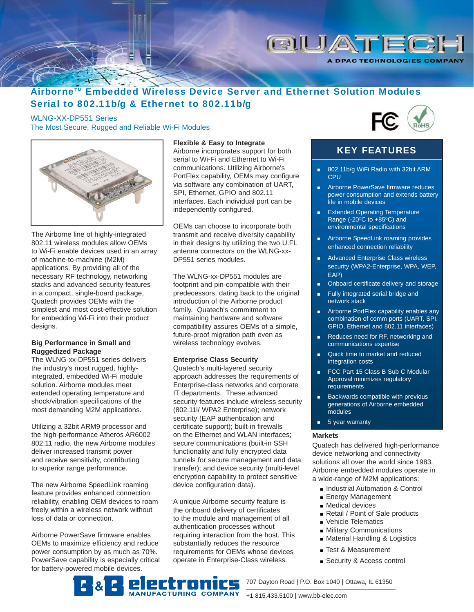

## Airborne™ Embedded Wireless Device Server and Ethernet Solution Modules Serial to 802.11b/g & Ethernet to 802.11b/g

WLNG-XX-DP551 Series The Most Secure, Rugged and Reliable Wi-Fi Modules



The Airborne line of highly-integrated 802.11 wireless modules allow OEMs to Wi-Fi enable devices used in an array of machine-to-machine (M2M) applications. By providing all of the necessary RF technology, networking stacks and advanced security features in a compact, single-board package, Quatech provides OEMs with the simplest and most cost-effective solution for embedding Wi-Fi into their product designs.

#### **Big Performance in Small and Ruggedized Package**

The WLNG-xx-DP551 series delivers the industry's most rugged, highlyintegrated, embedded Wi-Fi module solution. Airborne modules meet extended operating temperature and shock/vibration specifications of the most demanding M2M applications.

Utilizing a 32bit ARM9 processor and the high-performance Atheros AR6002 802.11 radio, the new Airborne modules deliver increased transmit power and receive sensitivity, contributing to superior range performance.

The new Airborne SpeedLink roaming feature provides enhanced connection reliability, enabling OEM devices to roam freely within a wireless network without loss of data or connection.

Airborne PowerSave firmware enables OEMs to maximize efficiency and reduce power consumption by as much as 70%. PowerSave capability is especially critical for battery-powered mobile devices.

#### **Flexible & Easy to Integrate**

Airborne incorporates support for both serial to Wi-Fi and Ethernet to Wi-Fi communications. Utilizing Airborne's PortFlex capability, OEMs may configure via software any combination of UART, SPI, Ethernet, GPIO and 802.11 interfaces. Each individual port can be independently configured.

OEMs can choose to incorporate both transmit and receive diversity capability in their designs by utilizing the two U.FL antenna connectors on the WLNG-xx-DP551 series modules.

The WLNG-xx-DP551 modules are footprint and pin-compatible with their predecessors, dating back to the original introduction of the Airborne product family. Quatech's commitment to maintaining hardware and software compatibility assures OEMs of a simple, future-proof migration path even as wireless technology evolves.

#### **Enterprise Class Security**

Quatech's multi-layered security approach addresses the requirements of Enterprise-class networks and corporate IT departments. These advanced security features include wireless security (802.11i/ WPA2 Enterprise); network security (EAP authentication and certificate support); built-in firewalls on the Ethernet and WLAN interfaces; secure communications (built-in SSH functionality and fully encrypted data tunnels for secure management and data transfer); and device security (multi-level encryption capability to protect sensitive device configuration data).

A unique Airborne security feature is the onboard delivery of certificates to the module and management of all authentication processes without requiring interaction from the host. This substantially reduces the resource requirements for OEMs whose devices operate in Enterprise-Class wireless.



# KEY FEATURES

- 802.11b/g WiFi Radio with 32bit ARM **CPU**
- Airborne PowerSave firmware reduces power consumption and extends battery life in mobile devices
- **Extended Operating Temperature** Range (-20 $\mathrm{^{\circ}C}$  to +85 $\mathrm{^{\circ}C}$ ) and environmental specifications
- Airborne SpeedLink roaming provides enhanced connection reliability
- Advanced Enterprise Class wireless security (WPA2-Enterprise, WPA, WEP, EAP)
- **Demograph** Onboard certificate delivery and storage
- Fully integrated serial bridge and network stack
- **Airborne PortFlex capability enables any** combination of comm ports (UART, SPI, GPIO, Ethernet and 802.11 interfaces)
- Reduces need for RF, networking and communications expertise
- Quick time to market and reduced integration costs
- FCC Part 15 Class B Sub C Modular Approval minimizes regulatory **requirements**
- **Backwards compatible with previous** generations of Airborne embedded modules
- $\blacksquare$  5 year warranty

#### **Markets**

Quatech has delivered high-performance device networking and connectivity solutions all over the world since 1983. Airborne embedded modules operate in a wide-range of M2M applications:

- **Industrial Automation & Control**
- **Energy Management**
- Medical devices
- Retail / Point of Sale products
- Vehicle Telematics
- **Military Communications**
- **Material Handling & Logistics**
- Test & Measurement
- Security & Access control